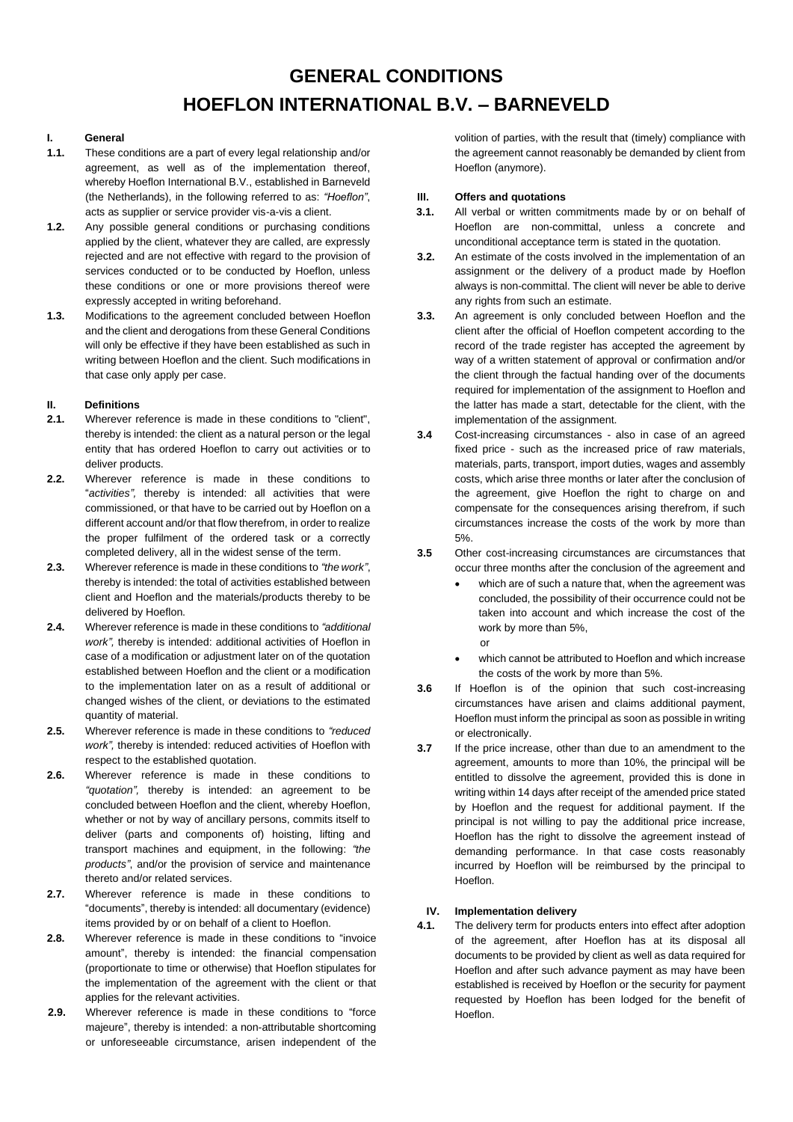# **GENERAL CONDITIONS HOEFLON INTERNATIONAL B.V. – BARNEVELD**

## **I. General**

- **1.1.** These conditions are a part of every legal relationship and/or agreement, as well as of the implementation thereof, whereby Hoeflon International B.V., established in Barneveld (the Netherlands), in the following referred to as: *"Hoeflon"*, acts as supplier or service provider vis-a-vis a client.
- **1.2.** Any possible general conditions or purchasing conditions applied by the client, whatever they are called, are expressly rejected and are not effective with regard to the provision of services conducted or to be conducted by Hoeflon, unless these conditions or one or more provisions thereof were expressly accepted in writing beforehand.
- **1.3.** Modifications to the agreement concluded between Hoeflon and the client and derogations from these General Conditions will only be effective if they have been established as such in writing between Hoeflon and the client. Such modifications in that case only apply per case.

# **II. Definitions**

- **2.1.** Wherever reference is made in these conditions to "client", thereby is intended: the client as a natural person or the legal entity that has ordered Hoeflon to carry out activities or to deliver products.
- **2.2.** Wherever reference is made in these conditions to "*activities",* thereby is intended: all activities that were commissioned, or that have to be carried out by Hoeflon on a different account and/or that flow therefrom, in order to realize the proper fulfilment of the ordered task or a correctly completed delivery, all in the widest sense of the term.
- **2.3.** Wherever reference is made in these conditions to *"the work"*, thereby is intended: the total of activities established between client and Hoeflon and the materials/products thereby to be delivered by Hoeflon.
- **2.4.** Wherever reference is made in these conditions to *"additional work",* thereby is intended: additional activities of Hoeflon in case of a modification or adjustment later on of the quotation established between Hoeflon and the client or a modification to the implementation later on as a result of additional or changed wishes of the client, or deviations to the estimated quantity of material.
- **2.5.** Wherever reference is made in these conditions to *"reduced work",* thereby is intended: reduced activities of Hoeflon with respect to the established quotation.
- **2.6.** Wherever reference is made in these conditions to *"quotation",* thereby is intended: an agreement to be concluded between Hoeflon and the client, whereby Hoeflon, whether or not by way of ancillary persons, commits itself to deliver (parts and components of) hoisting, lifting and transport machines and equipment, in the following: *"the products"*, and/or the provision of service and maintenance thereto and/or related services.
- **2.7.** Wherever reference is made in these conditions to "documents", thereby is intended: all documentary (evidence) items provided by or on behalf of a client to Hoeflon.
- **2.8.** Wherever reference is made in these conditions to "invoice amount", thereby is intended: the financial compensation (proportionate to time or otherwise) that Hoeflon stipulates for the implementation of the agreement with the client or that applies for the relevant activities.
- **2.9.** Wherever reference is made in these conditions to "force majeure", thereby is intended: a non-attributable shortcoming or unforeseeable circumstance, arisen independent of the

volition of parties, with the result that (timely) compliance with the agreement cannot reasonably be demanded by client from Hoeflon (anymore).

# **III. Offers and quotations**

- **3.1.** All verbal or written commitments made by or on behalf of Hoeflon are non-committal, unless a concrete and unconditional acceptance term is stated in the quotation.
- **3.2.** An estimate of the costs involved in the implementation of an assignment or the delivery of a product made by Hoeflon always is non-committal. The client will never be able to derive any rights from such an estimate.
- **3.3.** An agreement is only concluded between Hoeflon and the client after the official of Hoeflon competent according to the record of the trade register has accepted the agreement by way of a written statement of approval or confirmation and/or the client through the factual handing over of the documents required for implementation of the assignment to Hoeflon and the latter has made a start, detectable for the client, with the implementation of the assignment.
- **3.4** Cost-increasing circumstances also in case of an agreed fixed price - such as the increased price of raw materials, materials, parts, transport, import duties, wages and assembly costs, which arise three months or later after the conclusion of the agreement, give Hoeflon the right to charge on and compensate for the consequences arising therefrom, if such circumstances increase the costs of the work by more than 5%.
- **3.5** Other cost-increasing circumstances are circumstances that occur three months after the conclusion of the agreement and
	- which are of such a nature that, when the agreement was concluded, the possibility of their occurrence could not be taken into account and which increase the cost of the work by more than 5%, or
	- which cannot be attributed to Hoeflon and which increase the costs of the work by more than 5%.
- **3.6** If Hoeflon is of the opinion that such cost-increasing circumstances have arisen and claims additional payment, Hoeflon must inform the principal as soon as possible in writing or electronically.
- **3.7** If the price increase, other than due to an amendment to the agreement, amounts to more than 10%, the principal will be entitled to dissolve the agreement, provided this is done in writing within 14 days after receipt of the amended price stated by Hoeflon and the request for additional payment. If the principal is not willing to pay the additional price increase, Hoeflon has the right to dissolve the agreement instead of demanding performance. In that case costs reasonably incurred by Hoeflon will be reimbursed by the principal to Hoeflon.

## **IV. Implementation delivery**

**4.1.** The delivery term for products enters into effect after adoption of the agreement, after Hoeflon has at its disposal all documents to be provided by client as well as data required for Hoeflon and after such advance payment as may have been established is received by Hoeflon or the security for payment requested by Hoeflon has been lodged for the benefit of Hoeflon.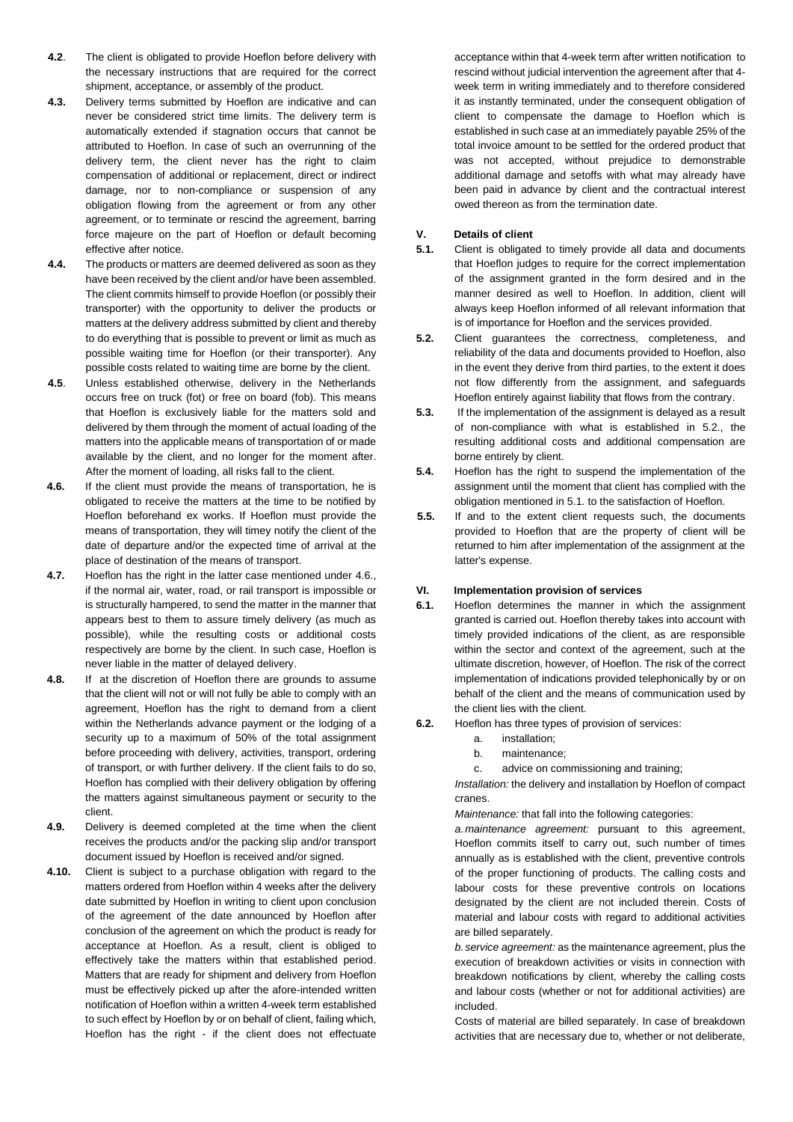- **4.2**. The client is obligated to provide Hoeflon before delivery with the necessary instructions that are required for the correct shipment, acceptance, or assembly of the product.
- **4.3.** Delivery terms submitted by Hoeflon are indicative and can never be considered strict time limits. The delivery term is automatically extended if stagnation occurs that cannot be attributed to Hoeflon. In case of such an overrunning of the delivery term, the client never has the right to claim compensation of additional or replacement, direct or indirect damage, nor to non-compliance or suspension of any obligation flowing from the agreement or from any other agreement, or to terminate or rescind the agreement, barring force majeure on the part of Hoeflon or default becoming effective after notice.
- **4.4.** The products or matters are deemed delivered as soon as they have been received by the client and/or have been assembled. The client commits himself to provide Hoeflon (or possibly their transporter) with the opportunity to deliver the products or matters at the delivery address submitted by client and thereby to do everything that is possible to prevent or limit as much as possible waiting time for Hoeflon (or their transporter). Any possible costs related to waiting time are borne by the client.
- **4.5**. Unless established otherwise, delivery in the Netherlands occurs free on truck (fot) or free on board (fob). This means that Hoeflon is exclusively liable for the matters sold and delivered by them through the moment of actual loading of the matters into the applicable means of transportation of or made available by the client, and no longer for the moment after. After the moment of loading, all risks fall to the client.
- **4.6.** If the client must provide the means of transportation, he is obligated to receive the matters at the time to be notified by Hoeflon beforehand ex works. If Hoeflon must provide the means of transportation, they will timey notify the client of the date of departure and/or the expected time of arrival at the place of destination of the means of transport.
- **4.7.** Hoeflon has the right in the latter case mentioned under 4.6., if the normal air, water, road, or rail transport is impossible or is structurally hampered, to send the matter in the manner that appears best to them to assure timely delivery (as much as possible), while the resulting costs or additional costs respectively are borne by the client. In such case, Hoeflon is never liable in the matter of delayed delivery.
- **4.8.** If at the discretion of Hoeflon there are grounds to assume that the client will not or will not fully be able to comply with an agreement, Hoeflon has the right to demand from a client within the Netherlands advance payment or the lodging of a security up to a maximum of 50% of the total assignment before proceeding with delivery, activities, transport, ordering of transport, or with further delivery. If the client fails to do so, Hoeflon has complied with their delivery obligation by offering the matters against simultaneous payment or security to the client.
- **4.9.** Delivery is deemed completed at the time when the client receives the products and/or the packing slip and/or transport document issued by Hoeflon is received and/or signed.
- **4.10.** Client is subject to a purchase obligation with regard to the matters ordered from Hoeflon within 4 weeks after the delivery date submitted by Hoeflon in writing to client upon conclusion of the agreement of the date announced by Hoeflon after conclusion of the agreement on which the product is ready for acceptance at Hoeflon. As a result, client is obliged to effectively take the matters within that established period. Matters that are ready for shipment and delivery from Hoeflon must be effectively picked up after the afore-intended written notification of Hoeflon within a written 4-week term established to such effect by Hoeflon by or on behalf of client, failing which, Hoeflon has the right - if the client does not effectuate

acceptance within that 4-week term after written notification to rescind without judicial intervention the agreement after that 4 week term in writing immediately and to therefore considered it as instantly terminated, under the consequent obligation of client to compensate the damage to Hoeflon which is established in such case at an immediately payable 25% of the total invoice amount to be settled for the ordered product that was not accepted, without prejudice to demonstrable additional damage and setoffs with what may already have been paid in advance by client and the contractual interest owed thereon as from the termination date.

### **V. Details of client**

- **5.1.** Client is obligated to timely provide all data and documents that Hoeflon judges to require for the correct implementation of the assignment granted in the form desired and in the manner desired as well to Hoeflon. In addition, client will always keep Hoeflon informed of all relevant information that is of importance for Hoeflon and the services provided.
- **5.2.** Client guarantees the correctness, completeness, and reliability of the data and documents provided to Hoeflon, also in the event they derive from third parties, to the extent it does not flow differently from the assignment, and safeguards Hoeflon entirely against liability that flows from the contrary.
- **5.3.** If the implementation of the assignment is delayed as a result of non-compliance with what is established in 5.2., the resulting additional costs and additional compensation are borne entirely by client.
- **5.4.** Hoeflon has the right to suspend the implementation of the assignment until the moment that client has complied with the obligation mentioned in 5.1. to the satisfaction of Hoeflon.
- **5.5.** If and to the extent client requests such, the documents provided to Hoeflon that are the property of client will be returned to him after implementation of the assignment at the latter's expense.

#### **VI. Implementation provision of services**

- **6.1.** Hoeflon determines the manner in which the assignment granted is carried out. Hoeflon thereby takes into account with timely provided indications of the client, as are responsible within the sector and context of the agreement, such at the ultimate discretion, however, of Hoeflon. The risk of the correct implementation of indications provided telephonically by or on behalf of the client and the means of communication used by the client lies with the client.
- **6.2.** Hoeflon has three types of provision of services:
	- a. installation;
		- b. maintenance;
		- c. advice on commissioning and training;

*Installation:* the delivery and installation by Hoeflon of compact cranes.

*Maintenance:* that fall into the following categories:

*a.maintenance agreement:* pursuant to this agreement, Hoeflon commits itself to carry out, such number of times annually as is established with the client, preventive controls of the proper functioning of products. The calling costs and labour costs for these preventive controls on locations designated by the client are not included therein. Costs of material and labour costs with regard to additional activities are billed separately.

*b.service agreement:* as the maintenance agreement, plus the execution of breakdown activities or visits in connection with breakdown notifications by client, whereby the calling costs and labour costs (whether or not for additional activities) are included.

Costs of material are billed separately. In case of breakdown activities that are necessary due to, whether or not deliberate,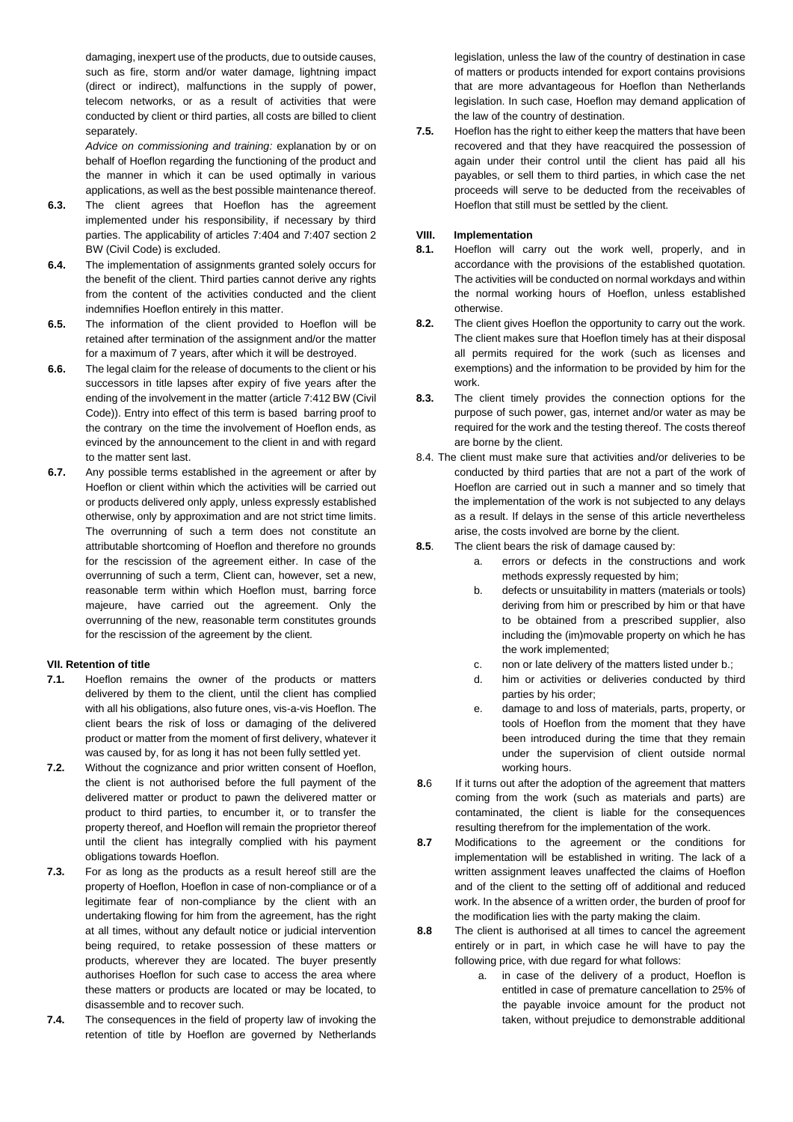damaging, inexpert use of the products, due to outside causes, such as fire, storm and/or water damage, lightning impact (direct or indirect), malfunctions in the supply of power, telecom networks, or as a result of activities that were conducted by client or third parties, all costs are billed to client separately.

*Advice on commissioning and training:* explanation by or on behalf of Hoeflon regarding the functioning of the product and the manner in which it can be used optimally in various applications, as well as the best possible maintenance thereof.

- **6.3.** The client agrees that Hoeflon has the agreement implemented under his responsibility, if necessary by third parties. The applicability of articles 7:404 and 7:407 section 2 BW (Civil Code) is excluded.
- **6.4.** The implementation of assignments granted solely occurs for the benefit of the client. Third parties cannot derive any rights from the content of the activities conducted and the client indemnifies Hoeflon entirely in this matter.
- **6.5.** The information of the client provided to Hoeflon will be retained after termination of the assignment and/or the matter for a maximum of 7 years, after which it will be destroyed.
- **6.6.** The legal claim for the release of documents to the client or his successors in title lapses after expiry of five years after the ending of the involvement in the matter (article 7:412 BW (Civil Code)). Entry into effect of this term is based barring proof to the contrary on the time the involvement of Hoeflon ends, as evinced by the announcement to the client in and with regard to the matter sent last.
- **6.7.** Any possible terms established in the agreement or after by Hoeflon or client within which the activities will be carried out or products delivered only apply, unless expressly established otherwise, only by approximation and are not strict time limits. The overrunning of such a term does not constitute an attributable shortcoming of Hoeflon and therefore no grounds for the rescission of the agreement either. In case of the overrunning of such a term, Client can, however, set a new, reasonable term within which Hoeflon must, barring force majeure, have carried out the agreement. Only the overrunning of the new, reasonable term constitutes grounds for the rescission of the agreement by the client.

## **VII. Retention of title**

- **7.1.** Hoeflon remains the owner of the products or matters delivered by them to the client, until the client has complied with all his obligations, also future ones, vis-a-vis Hoeflon. The client bears the risk of loss or damaging of the delivered product or matter from the moment of first delivery, whatever it was caused by, for as long it has not been fully settled yet.
- **7.2.** Without the cognizance and prior written consent of Hoeflon, the client is not authorised before the full payment of the delivered matter or product to pawn the delivered matter or product to third parties, to encumber it, or to transfer the property thereof, and Hoeflon will remain the proprietor thereof until the client has integrally complied with his payment obligations towards Hoeflon.
- **7.3.** For as long as the products as a result hereof still are the property of Hoeflon, Hoeflon in case of non-compliance or of a legitimate fear of non-compliance by the client with an undertaking flowing for him from the agreement, has the right at all times, without any default notice or judicial intervention being required, to retake possession of these matters or products, wherever they are located. The buyer presently authorises Hoeflon for such case to access the area where these matters or products are located or may be located, to disassemble and to recover such.
- **7.4.** The consequences in the field of property law of invoking the retention of title by Hoeflon are governed by Netherlands

legislation, unless the law of the country of destination in case of matters or products intended for export contains provisions that are more advantageous for Hoeflon than Netherlands legislation. In such case, Hoeflon may demand application of the law of the country of destination.

**7.5.** Hoeflon has the right to either keep the matters that have been recovered and that they have reacquired the possession of again under their control until the client has paid all his payables, or sell them to third parties, in which case the net proceeds will serve to be deducted from the receivables of Hoeflon that still must be settled by the client.

## **VIII. Implementation**

- **8.1.** Hoeflon will carry out the work well, properly, and in accordance with the provisions of the established quotation. The activities will be conducted on normal workdays and within the normal working hours of Hoeflon, unless established otherwise.
- **8.2.** The client gives Hoeflon the opportunity to carry out the work. The client makes sure that Hoeflon timely has at their disposal all permits required for the work (such as licenses and exemptions) and the information to be provided by him for the work.
- **8.3.** The client timely provides the connection options for the purpose of such power, gas, internet and/or water as may be required for the work and the testing thereof. The costs thereof are borne by the client.
- 8.4. The client must make sure that activities and/or deliveries to be conducted by third parties that are not a part of the work of Hoeflon are carried out in such a manner and so timely that the implementation of the work is not subjected to any delays as a result. If delays in the sense of this article nevertheless arise, the costs involved are borne by the client.
- **8.5**. The client bears the risk of damage caused by:
	- a. errors or defects in the constructions and work methods expressly requested by him;
	- b. defects or unsuitability in matters (materials or tools) deriving from him or prescribed by him or that have to be obtained from a prescribed supplier, also including the (im)movable property on which he has the work implemented;
	- c. non or late delivery of the matters listed under b.;
	- d. him or activities or deliveries conducted by third parties by his order;
	- e. damage to and loss of materials, parts, property, or tools of Hoeflon from the moment that they have been introduced during the time that they remain under the supervision of client outside normal working hours.
- **8.**6 If it turns out after the adoption of the agreement that matters coming from the work (such as materials and parts) are contaminated, the client is liable for the consequences resulting therefrom for the implementation of the work.
- **8.7** Modifications to the agreement or the conditions for implementation will be established in writing. The lack of a written assignment leaves unaffected the claims of Hoeflon and of the client to the setting off of additional and reduced work. In the absence of a written order, the burden of proof for the modification lies with the party making the claim.
- **8.8** The client is authorised at all times to cancel the agreement entirely or in part, in which case he will have to pay the following price, with due regard for what follows:
	- a. in case of the delivery of a product, Hoeflon is entitled in case of premature cancellation to 25% of the payable invoice amount for the product not taken, without prejudice to demonstrable additional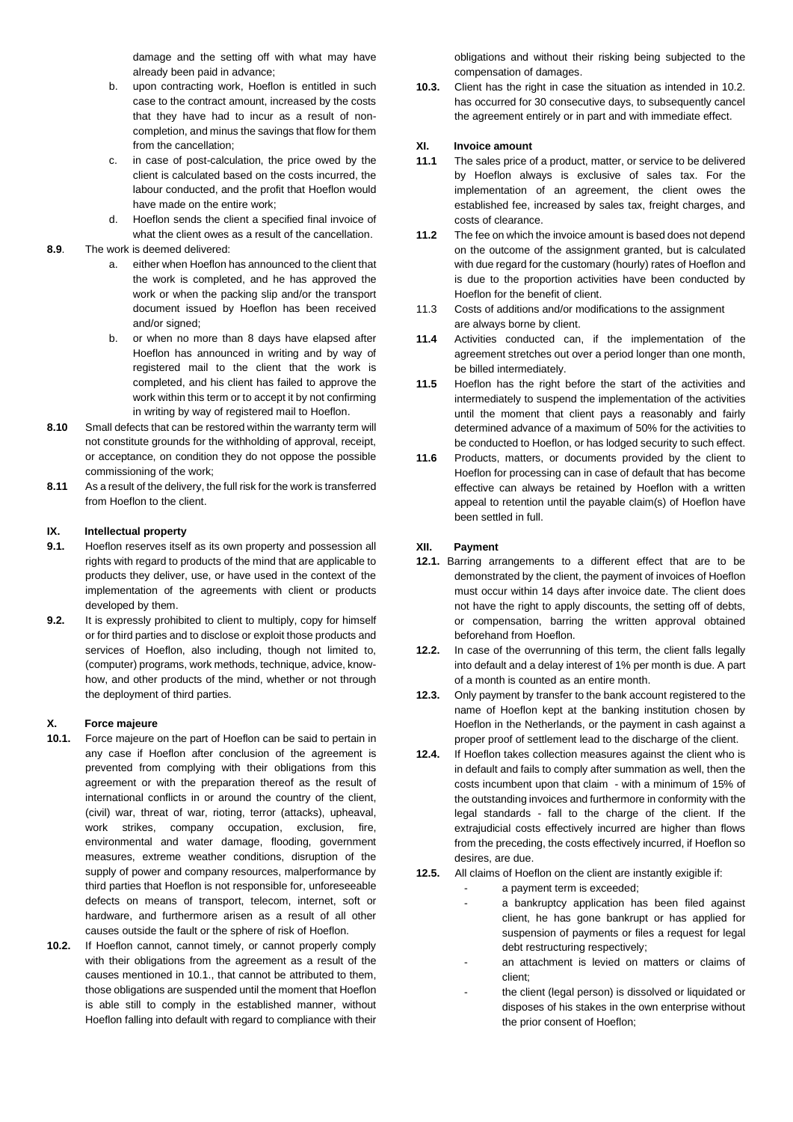damage and the setting off with what may have already been paid in advance;

- b. upon contracting work, Hoeflon is entitled in such case to the contract amount, increased by the costs that they have had to incur as a result of noncompletion, and minus the savings that flow for them from the cancellation;
- c. in case of post-calculation, the price owed by the client is calculated based on the costs incurred, the labour conducted, and the profit that Hoeflon would have made on the entire work;
- d. Hoeflon sends the client a specified final invoice of what the client owes as a result of the cancellation.

# **8.9**. The work is deemed delivered:

- a. either when Hoeflon has announced to the client that the work is completed, and he has approved the work or when the packing slip and/or the transport document issued by Hoeflon has been received and/or signed:
- b. or when no more than 8 days have elapsed after Hoeflon has announced in writing and by way of registered mail to the client that the work is completed, and his client has failed to approve the work within this term or to accept it by not confirming in writing by way of registered mail to Hoeflon.
- **8.10** Small defects that can be restored within the warranty term will not constitute grounds for the withholding of approval, receipt, or acceptance, on condition they do not oppose the possible commissioning of the work;
- **8.11** As a result of the delivery, the full risk for the work is transferred from Hoeflon to the client.

## **IX. Intellectual property**

- **9.1.** Hoeflon reserves itself as its own property and possession all rights with regard to products of the mind that are applicable to products they deliver, use, or have used in the context of the implementation of the agreements with client or products developed by them.
- **9.2.** It is expressly prohibited to client to multiply, copy for himself or for third parties and to disclose or exploit those products and services of Hoeflon, also including, though not limited to, (computer) programs, work methods, technique, advice, knowhow, and other products of the mind, whether or not through the deployment of third parties.

## **X. Force majeure**

- **10.1.** Force majeure on the part of Hoeflon can be said to pertain in any case if Hoeflon after conclusion of the agreement is prevented from complying with their obligations from this agreement or with the preparation thereof as the result of international conflicts in or around the country of the client, (civil) war, threat of war, rioting, terror (attacks), upheaval, work strikes, company occupation, exclusion, fire, environmental and water damage, flooding, government measures, extreme weather conditions, disruption of the supply of power and company resources, malperformance by third parties that Hoeflon is not responsible for, unforeseeable defects on means of transport, telecom, internet, soft or hardware, and furthermore arisen as a result of all other causes outside the fault or the sphere of risk of Hoeflon.
- **10.2.** If Hoeflon cannot, cannot timely, or cannot properly comply with their obligations from the agreement as a result of the causes mentioned in 10.1., that cannot be attributed to them, those obligations are suspended until the moment that Hoeflon is able still to comply in the established manner, without Hoeflon falling into default with regard to compliance with their

obligations and without their risking being subjected to the compensation of damages.

**10.3.** Client has the right in case the situation as intended in 10.2. has occurred for 30 consecutive days, to subsequently cancel the agreement entirely or in part and with immediate effect.

## **XI. Invoice amount**

- **11.1** The sales price of a product, matter, or service to be delivered by Hoeflon always is exclusive of sales tax. For the implementation of an agreement, the client owes the established fee, increased by sales tax, freight charges, and costs of clearance.
- **11.2** The fee on which the invoice amount is based does not depend on the outcome of the assignment granted, but is calculated with due regard for the customary (hourly) rates of Hoeflon and is due to the proportion activities have been conducted by Hoeflon for the benefit of client.
- 11.3 Costs of additions and/or modifications to the assignment are always borne by client.
- **11.4** Activities conducted can, if the implementation of the agreement stretches out over a period longer than one month, be billed intermediately.
- **11.5** Hoeflon has the right before the start of the activities and intermediately to suspend the implementation of the activities until the moment that client pays a reasonably and fairly determined advance of a maximum of 50% for the activities to be conducted to Hoeflon, or has lodged security to such effect.
- **11.6** Products, matters, or documents provided by the client to Hoeflon for processing can in case of default that has become effective can always be retained by Hoeflon with a written appeal to retention until the payable claim(s) of Hoeflon have been settled in full.

## **XII. Payment**

- **12.1.** Barring arrangements to a different effect that are to be demonstrated by the client, the payment of invoices of Hoeflon must occur within 14 days after invoice date. The client does not have the right to apply discounts, the setting off of debts, or compensation, barring the written approval obtained beforehand from Hoeflon.
- **12.2.** In case of the overrunning of this term, the client falls legally into default and a delay interest of 1% per month is due. A part of a month is counted as an entire month.
- **12.3.** Only payment by transfer to the bank account registered to the name of Hoeflon kept at the banking institution chosen by Hoeflon in the Netherlands, or the payment in cash against a proper proof of settlement lead to the discharge of the client.
- **12.4.** If Hoeflon takes collection measures against the client who is in default and fails to comply after summation as well, then the costs incumbent upon that claim - with a minimum of 15% of the outstanding invoices and furthermore in conformity with the legal standards - fall to the charge of the client. If the extrajudicial costs effectively incurred are higher than flows from the preceding, the costs effectively incurred, if Hoeflon so desires, are due.
- **12.5.** All claims of Hoeflon on the client are instantly exigible if:
	- a payment term is exceeded;
	- a bankruptcy application has been filed against client, he has gone bankrupt or has applied for suspension of payments or files a request for legal debt restructuring respectively;
	- an attachment is levied on matters or claims of client;
	- the client (legal person) is dissolved or liquidated or disposes of his stakes in the own enterprise without the prior consent of Hoeflon;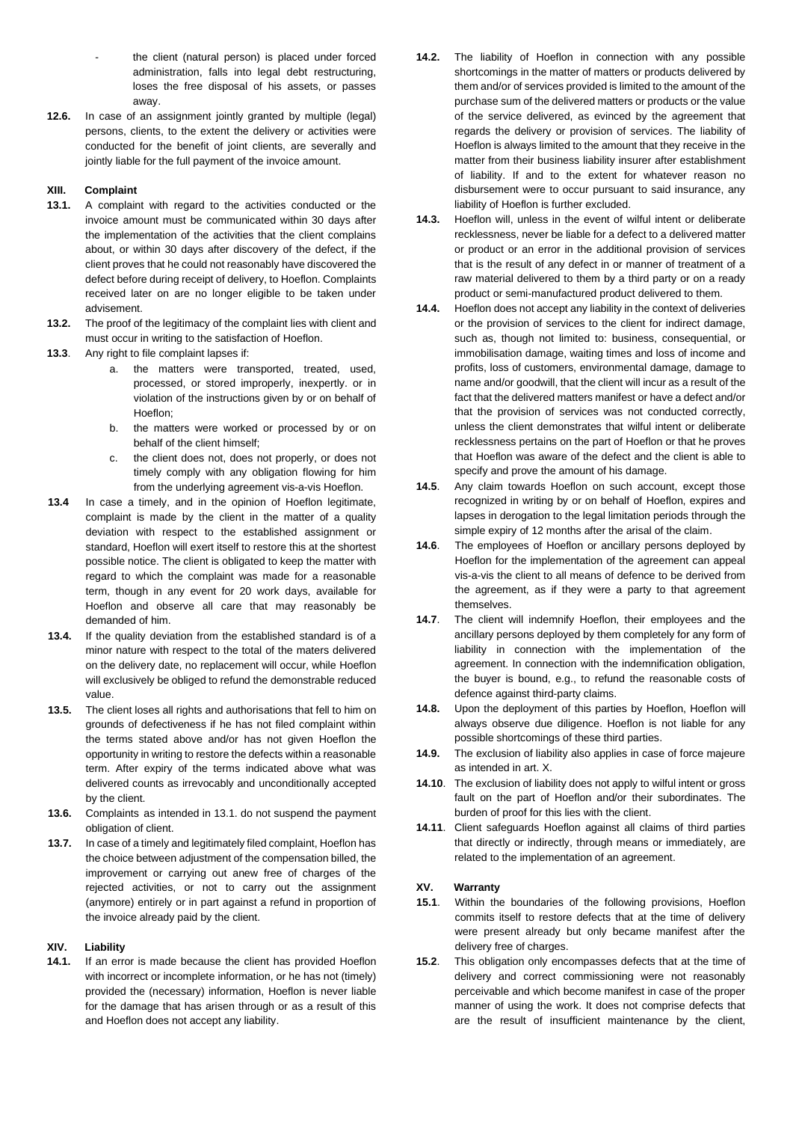- the client (natural person) is placed under forced administration, falls into legal debt restructuring, loses the free disposal of his assets, or passes away.
- **12.6.** In case of an assignment jointly granted by multiple (legal) persons, clients, to the extent the delivery or activities were conducted for the benefit of joint clients, are severally and jointly liable for the full payment of the invoice amount.

## **XIII. Complaint**

- **13.1.** A complaint with regard to the activities conducted or the invoice amount must be communicated within 30 days after the implementation of the activities that the client complains about, or within 30 days after discovery of the defect, if the client proves that he could not reasonably have discovered the defect before during receipt of delivery, to Hoeflon. Complaints received later on are no longer eligible to be taken under advisement.
- **13.2.** The proof of the legitimacy of the complaint lies with client and must occur in writing to the satisfaction of Hoeflon.
- **13.3**. Any right to file complaint lapses if:
	- a. the matters were transported, treated, used, processed, or stored improperly, inexpertly. or in violation of the instructions given by or on behalf of Hoeflon;
	- b. the matters were worked or processed by or on behalf of the client himself;
	- c. the client does not, does not properly, or does not timely comply with any obligation flowing for him from the underlying agreement vis-a-vis Hoeflon.
- **13.4** In case a timely, and in the opinion of Hoeflon legitimate, complaint is made by the client in the matter of a quality deviation with respect to the established assignment or standard, Hoeflon will exert itself to restore this at the shortest possible notice. The client is obligated to keep the matter with regard to which the complaint was made for a reasonable term, though in any event for 20 work days, available for Hoeflon and observe all care that may reasonably be demanded of him.
- **13.4.** If the quality deviation from the established standard is of a minor nature with respect to the total of the maters delivered on the delivery date, no replacement will occur, while Hoeflon will exclusively be obliged to refund the demonstrable reduced value.
- **13.5.** The client loses all rights and authorisations that fell to him on grounds of defectiveness if he has not filed complaint within the terms stated above and/or has not given Hoeflon the opportunity in writing to restore the defects within a reasonable term. After expiry of the terms indicated above what was delivered counts as irrevocably and unconditionally accepted by the client.
- **13.6.** Complaints as intended in 13.1. do not suspend the payment obligation of client.
- **13.7.** In case of a timely and legitimately filed complaint, Hoeflon has the choice between adjustment of the compensation billed, the improvement or carrying out anew free of charges of the rejected activities, or not to carry out the assignment (anymore) entirely or in part against a refund in proportion of the invoice already paid by the client.

#### **XIV. Liability**

**14.1.** If an error is made because the client has provided Hoeflon with incorrect or incomplete information, or he has not (timely) provided the (necessary) information, Hoeflon is never liable for the damage that has arisen through or as a result of this and Hoeflon does not accept any liability.

- **14.2.** The liability of Hoeflon in connection with any possible shortcomings in the matter of matters or products delivered by them and/or of services provided is limited to the amount of the purchase sum of the delivered matters or products or the value of the service delivered, as evinced by the agreement that regards the delivery or provision of services. The liability of Hoeflon is always limited to the amount that they receive in the matter from their business liability insurer after establishment of liability. If and to the extent for whatever reason no disbursement were to occur pursuant to said insurance, any liability of Hoeflon is further excluded.
- **14.3.** Hoeflon will, unless in the event of wilful intent or deliberate recklessness, never be liable for a defect to a delivered matter or product or an error in the additional provision of services that is the result of any defect in or manner of treatment of a raw material delivered to them by a third party or on a ready product or semi-manufactured product delivered to them.
- **14.4.** Hoeflon does not accept any liability in the context of deliveries or the provision of services to the client for indirect damage, such as, though not limited to: business, consequential, or immobilisation damage, waiting times and loss of income and profits, loss of customers, environmental damage, damage to name and/or goodwill, that the client will incur as a result of the fact that the delivered matters manifest or have a defect and/or that the provision of services was not conducted correctly, unless the client demonstrates that wilful intent or deliberate recklessness pertains on the part of Hoeflon or that he proves that Hoeflon was aware of the defect and the client is able to specify and prove the amount of his damage.
- **14.5**. Any claim towards Hoeflon on such account, except those recognized in writing by or on behalf of Hoeflon, expires and lapses in derogation to the legal limitation periods through the simple expiry of 12 months after the arisal of the claim.
- **14.6**. The employees of Hoeflon or ancillary persons deployed by Hoeflon for the implementation of the agreement can appeal vis-a-vis the client to all means of defence to be derived from the agreement, as if they were a party to that agreement themselves.
- **14.7**. The client will indemnify Hoeflon, their employees and the ancillary persons deployed by them completely for any form of liability in connection with the implementation of the agreement. In connection with the indemnification obligation, the buyer is bound, e.g., to refund the reasonable costs of defence against third-party claims.
- **14.8.** Upon the deployment of this parties by Hoeflon, Hoeflon will always observe due diligence. Hoeflon is not liable for any possible shortcomings of these third parties.
- **14.9.** The exclusion of liability also applies in case of force majeure as intended in art. X.
- **14.10**. The exclusion of liability does not apply to wilful intent or gross fault on the part of Hoeflon and/or their subordinates. The burden of proof for this lies with the client.
- **14.11**. Client safeguards Hoeflon against all claims of third parties that directly or indirectly, through means or immediately, are related to the implementation of an agreement.

# **XV. Warranty**

- **15.1**. Within the boundaries of the following provisions, Hoeflon commits itself to restore defects that at the time of delivery were present already but only became manifest after the delivery free of charges.
- **15.2**. This obligation only encompasses defects that at the time of delivery and correct commissioning were not reasonably perceivable and which become manifest in case of the proper manner of using the work. It does not comprise defects that are the result of insufficient maintenance by the client,